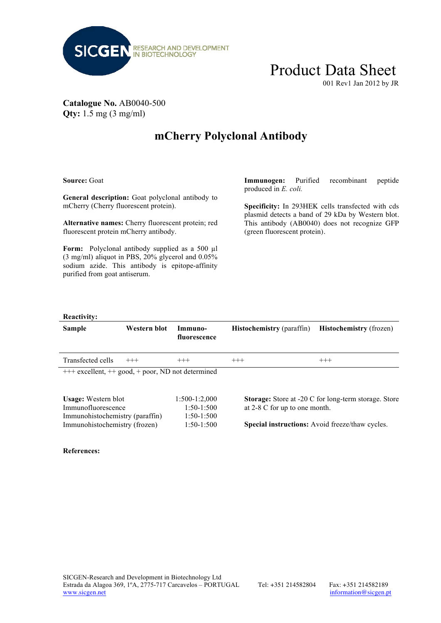

## Product Data Sheet

001 Rev1 Jan 2012 by JR

#### **Catalogue No.** AB0040-500 **Qty:** 1.5 mg (3 mg/ml)

### **mCherry Polyclonal Antibody**

**Source:** Goat

**General description:** Goat polyclonal antibody to mCherry (Cherry fluorescent protein).

**Alternative names:** Cherry fluorescent protein; red fluorescent protein mCherry antibody.

Form: Polyclonal antibody supplied as a 500 µl (3 mg/ml) aliquot in PBS, 20% glycerol and 0.05% sodium azide. This antibody is epitope-affinity purified from goat antiserum.

**Immunogen:** Purified recombinant peptide produced in *E. coli.*

**Specificity:** In 293HEK cells transfected with cds plasmid detects a band of 29 kDa by Western blot. This antibody (AB0040) does not recognize GFP (green fluorescent protein).

#### **Reactivity:**

| <b>Sample</b>                                          | Western blot | Immuno-<br>fluorescence | <b>Histochemistry</b> (paraffin)                            | <b>Histochemistry</b> (frozen)                         |  |
|--------------------------------------------------------|--------------|-------------------------|-------------------------------------------------------------|--------------------------------------------------------|--|
| Transfected cells                                      | $+++$        | $^{+++}$                | $^{+++}$                                                    | $^{+++}$                                               |  |
| $++$ excellent, $++$ good, $+$ poor, ND not determined |              |                         |                                                             |                                                        |  |
| <b>Usage:</b> Western blot                             |              | 1:500-1:2,000           | <b>Storage:</b> Store at -20 C for long-term storage. Store |                                                        |  |
| Immunofluorescence                                     |              | $1:50-1:500$            | at 2-8 C for up to one month.                               |                                                        |  |
| Immunohistochemistry (paraffin)                        |              | $1:50-1:500$            |                                                             |                                                        |  |
| Immunohistochemistry (frozen)                          |              | $1:50-1:500$            |                                                             | <b>Special instructions:</b> Avoid freeze/thaw cycles. |  |

#### **References:**